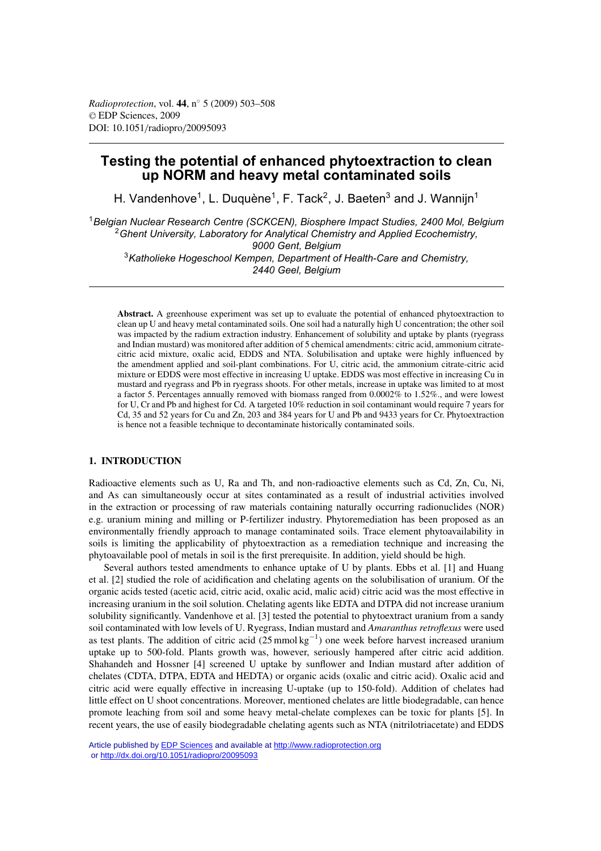# **Testing the potential of enhanced phytoextraction to clean up NORM and heavy metal contaminated soils**

H. Vandenhove<sup>1</sup>, L. Duquène<sup>1</sup>, F. Tack<sup>2</sup>, J. Baeten<sup>3</sup> and J. Wanniin<sup>1</sup>

<sup>1</sup>*Belgian Nuclear Research Centre (SCKCEN), Biosphere Impact Studies, 2400 Mol, Belgium* <sup>2</sup>*Ghent University, Laboratory for Analytical Chemistry and Applied Ecochemistry, 9000 Gent, Belgium* <sup>3</sup>*Katholieke Hogeschool Kempen, Department of Health-Care and Chemistry, 2440 Geel, Belgium*

**Abstract.** A greenhouse experiment was set up to evaluate the potential of enhanced phytoextraction to clean up U and heavy metal contaminated soils. One soil had a naturally high U concentration; the other soil was impacted by the radium extraction industry. Enhancement of solubility and uptake by plants (ryegrass and Indian mustard) was monitored after addition of 5 chemical amendments: citric acid, ammonium citratecitric acid mixture, oxalic acid, EDDS and NTA. Solubilisation and uptake were highly influenced by the amendment applied and soil-plant combinations. For U, citric acid, the ammonium citrate-citric acid mixture or EDDS were most effective in increasing U uptake. EDDS was most effective in increasing Cu in mustard and ryegrass and Pb in ryegrass shoots. For other metals, increase in uptake was limited to at most a factor 5. Percentages annually removed with biomass ranged from 0.0002% to 1.52%., and were lowest for U, Cr and Pb and highest for Cd. A targeted 10% reduction in soil contaminant would require 7 years for Cd, 35 and 52 years for Cu and Zn, 203 and 384 years for U and Pb and 9433 years for Cr. Phytoextraction is hence not a feasible technique to decontaminate historically contaminated soils.

## **1. INTRODUCTION**

Radioactive elements such as U, Ra and Th, and non-radioactive elements such as Cd, Zn, Cu, Ni, and As can simultaneously occur at sites contaminated as a result of industrial activities involved in the extraction or processing of raw materials containing naturally occurring radionuclides (NOR) e.g. uranium mining and milling or P-fertilizer industry. Phytoremediation has been proposed as an environmentally friendly approach to manage contaminated soils. Trace element phytoavailability in soils is limiting the applicability of phytoextraction as a remediation technique and increasing the phytoavailable pool of metals in soil is the first prerequisite. In addition, yield should be high.

Several authors tested amendments to enhance uptake of U by plants. Ebbs et al. [1] and Huang et al. [2] studied the role of acidification and chelating agents on the solubilisation of uranium. Of the organic acids tested (acetic acid, citric acid, oxalic acid, malic acid) citric acid was the most effective in increasing uranium in the soil solution. Chelating agents like EDTA and DTPA did not increase uranium solubility significantly. Vandenhove et al. [3] tested the potential to phytoextract uranium from a sandy soil contaminated with low levels of U. Ryegrass, Indian mustard and *Amaranthus retroflexus* were used as test plants. The addition of citric acid  $(25 \text{ mmol kg}^{-1})$  one week before harvest increased uranium uptake up to 500-fold. Plants growth was, however, seriously hampered after citric acid addition. Shahandeh and Hossner [4] screened U uptake by sunflower and Indian mustard after addition of chelates (CDTA, DTPA, EDTA and HEDTA) or organic acids (oxalic and citric acid). Oxalic acid and citric acid were equally effective in increasing U-uptake (up to 150-fold). Addition of chelates had little effect on U shoot concentrations. Moreover, mentioned chelates are little biodegradable, can hence promote leaching from soil and some heavy metal-chelate complexes can be toxic for plants [5]. In recent years, the use of easily biodegradable chelating agents such as NTA (nitrilotriacetate) and EDDS

Article published by [EDP Sciences](http://www.edpsciences.org) and available at<http://www.radioprotection.org> or <http://dx.doi.org/10.1051/radiopro/20095093>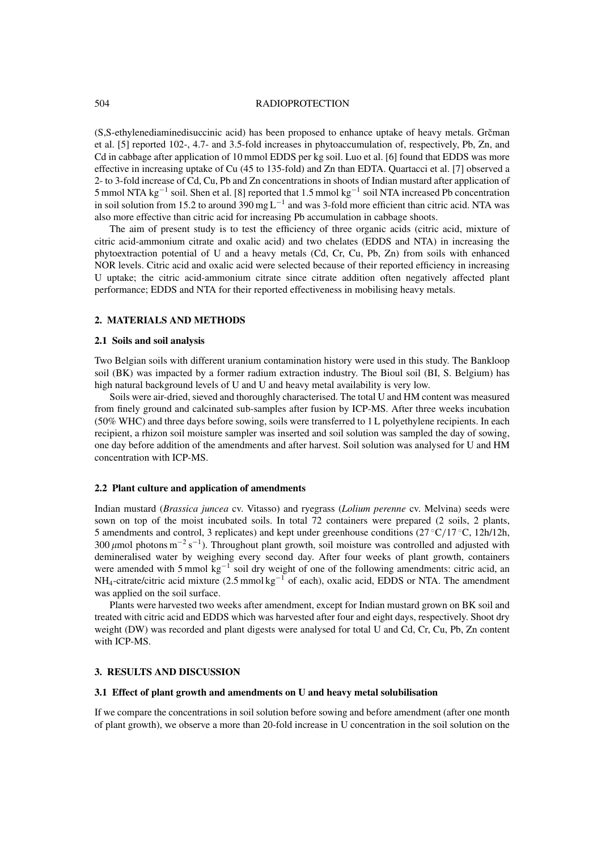#### 504 RADIOPROTECTION

(S,S-ethylenediaminedisuccinic acid) has been proposed to enhance uptake of heavy metals. Grčman et al. [5] reported 102-, 4.7- and 3.5-fold increases in phytoaccumulation of, respectively, Pb, Zn, and Cd in cabbage after application of 10 mmol EDDS per kg soil. Luo et al. [6] found that EDDS was more effective in increasing uptake of Cu (45 to 135-fold) and Zn than EDTA. Quartacci et al. [7] observed a 2- to 3-fold increase of Cd, Cu, Pb and Zn concentrations in shoots of Indian mustard after application of 5 mmol NTA kg−<sup>1</sup> soil. Shen et al. [8] reported that 1.5 mmol kg−<sup>1</sup> soil NTA increased Pb concentration in soil solution from 15.2 to around 390 mg  $L^{-1}$  and was 3-fold more efficient than citric acid. NTA was also more effective than citric acid for increasing Pb accumulation in cabbage shoots.

The aim of present study is to test the efficiency of three organic acids (citric acid, mixture of citric acid-ammonium citrate and oxalic acid) and two chelates (EDDS and NTA) in increasing the phytoextraction potential of U and a heavy metals (Cd, Cr, Cu, Pb, Zn) from soils with enhanced NOR levels. Citric acid and oxalic acid were selected because of their reported efficiency in increasing U uptake; the citric acid-ammonium citrate since citrate addition often negatively affected plant performance; EDDS and NTA for their reported effectiveness in mobilising heavy metals.

#### **2. MATERIALS AND METHODS**

#### **2.1 Soils and soil analysis**

Two Belgian soils with different uranium contamination history were used in this study. The Bankloop soil (BK) was impacted by a former radium extraction industry. The Bioul soil (BI, S. Belgium) has high natural background levels of U and U and heavy metal availability is very low.

Soils were air-dried, sieved and thoroughly characterised. The total U and HM content was measured from finely ground and calcinated sub-samples after fusion by ICP-MS. After three weeks incubation (50% WHC) and three days before sowing, soils were transferred to 1 L polyethylene recipients. In each recipient, a rhizon soil moisture sampler was inserted and soil solution was sampled the day of sowing, one day before addition of the amendments and after harvest. Soil solution was analysed for U and HM concentration with ICP-MS.

### **2.2 Plant culture and application of amendments**

Indian mustard (*Brassica juncea* cv. Vitasso) and ryegrass (*Lolium perenne* cv. Melvina) seeds were sown on top of the moist incubated soils. In total 72 containers were prepared (2 soils, 2 plants, 5 amendments and control, 3 replicates) and kept under greenhouse conditions (27 ◦C/17 ◦C, 12h/12h, 300  $\mu$ mol photons m<sup>-2</sup> s<sup>-1</sup>). Throughout plant growth, soil moisture was controlled and adjusted with demineralised water by weighing every second day. After four weeks of plant growth, containers were amended with 5 mmol kg<sup>-1</sup> soil dry weight of one of the following amendments: citric acid, an  $NH_4$ -citrate/citric acid mixture (2.5 mmol kg<sup>-1</sup> of each), oxalic acid, EDDS or NTA. The amendment was applied on the soil surface.

Plants were harvested two weeks after amendment, except for Indian mustard grown on BK soil and treated with citric acid and EDDS which was harvested after four and eight days, respectively. Shoot dry weight (DW) was recorded and plant digests were analysed for total U and Cd, Cr, Cu, Pb, Zn content with ICP-MS.

# **3. RESULTS AND DISCUSSION**

## **3.1 Effect of plant growth and amendments on U and heavy metal solubilisation**

If we compare the concentrations in soil solution before sowing and before amendment (after one month of plant growth), we observe a more than 20-fold increase in U concentration in the soil solution on the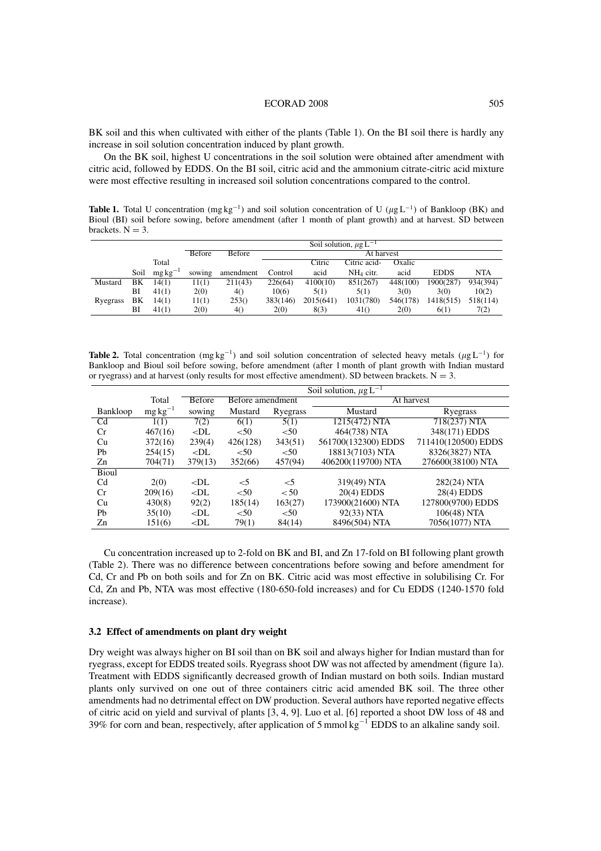#### ECORAD 2008 505

BK soil and this when cultivated with either of the plants (Table 1). On the BI soil there is hardly any increase in soil solution concentration induced by plant growth.

On the BK soil, highest U concentrations in the soil solution were obtained after amendment with citric acid, followed by EDDS. On the BI soil, citric acid and the ammonium citrate-citric acid mixture were most effective resulting in increased soil solution concentrations compared to the control.

**Table 1.** Total U concentration (mg kg<sup>-1</sup>) and soil solution concentration of U ( $\mu$ g L<sup>-1</sup>) of Bankloop (BK) and Bioul (BI) soil before sowing, before amendment (after 1 month of plant growth) and at harvest. SD between brackets.  $N = 3$ .

|          |      |               | Soil solution, $\mu$ g L <sup>-1</sup> |           |            |           |              |          |             |          |
|----------|------|---------------|----------------------------------------|-----------|------------|-----------|--------------|----------|-------------|----------|
|          |      |               | <b>Before</b>                          | Before    | At harvest |           |              |          |             |          |
|          |      | Total         |                                        |           |            | Citric    | Citric acid- | Oxalic   |             |          |
|          | Soil | $mg\,kg^{-1}$ | sowing                                 | amendment | Control    | acid      | $NH4$ citr.  | acid     | <b>EDDS</b> | NTA      |
| Mustard  | BΚ   | 14(1)         | 11(1)                                  | 211(43)   | 226(64)    | 4100(10)  | 851(267)     | 448(100) | 1900(287)   | 934(394) |
|          | BI   | 41(1)         | 2(0)                                   | 40        | 10(6)      | 5(1)      | 5(1)         | 3(0)     | 3(0)        | 10(2)    |
| Ryegrass | ΒK   | 14(1)         | 11(1)                                  | 253()     | 383(146)   | 2015(641) | 1031(780)    | 546(178) | 1418(515)   | 518(114) |
|          | ВI   | 41(1)         | 2(0)                                   | 4()       | 2(0)       | 8(3)      | 41()         | 2(0)     | 6(1)        | 7(2)     |

**Table 2.** Total concentration (mg kg<sup>-1</sup>) and soil solution concentration of selected heavy metals ( $\mu$ g L<sup>-1</sup>) for Bankloop and Bioul soil before sowing, before amendment (after 1 month of plant growth with Indian mustard or ryegrass) and at harvest (only results for most effective amendment). SD between brackets.  $N = 3$ .

|                |               | Soil solution, $\mu$ g L <sup>-1</sup> |                  |          |                     |                     |  |
|----------------|---------------|----------------------------------------|------------------|----------|---------------------|---------------------|--|
|                | Total         | <b>Before</b>                          | Before amendment |          | At harvest          |                     |  |
| Bankloop       | $mg\,kg^{-1}$ | sowing                                 | Mustard          | Ryegrass | Mustard             | Ryegrass            |  |
| C <sub>d</sub> | 1(1)          | 7(2)                                   | 6(1)             | 5(1)     | 1215(472) NTA       | 718(237) NTA        |  |
| Cr             | 467(16)       | $<$ DL                                 | < 50             | < 50     | 464(738) NTA        | 348(171) EDDS       |  |
| Cu             | 372(16)       | 239(4)                                 | 426(128)         | 343(51)  | 561700(132300) EDDS | 711410(120500) EDDS |  |
| Pb             | 254(15)       | $<$ DL                                 | < 50             | < 50     | 18813(7103) NTA     | 8326(3827) NTA      |  |
| Zn             | 704(71)       | 379(13)                                | 352(66)          | 457(94)  | 406200(119700) NTA  | 276600(38100) NTA   |  |
| <b>Bioul</b>   |               |                                        |                  |          |                     |                     |  |
| C <sub>d</sub> | 2(0)          | $<$ DL                                 | $<$ 5            | $<$ 5    | 319(49) NTA         | 282(24) NTA         |  |
| Cr             | 209(16)       | $<$ DL                                 | ${<}50$          | < 50     | $20(4)$ EDDS        | 28(4) EDDS          |  |
| Cu             | 430(8)        | 92(2)                                  | 185(14)          | 163(27)  | 173900(21600) NTA   | 127800(9700) EDDS   |  |
| Pb             | 35(10)        | $<$ DL                                 | < 50             | < 50     | 92(33) NTA          | 106(48) NTA         |  |
| Zn             | 151(6)        | $<$ DL                                 | 79(1)            | 84(14)   | 8496(504) NTA       | 7056(1077) NTA      |  |

Cu concentration increased up to 2-fold on BK and BI, and Zn 17-fold on BI following plant growth (Table 2). There was no difference between concentrations before sowing and before amendment for Cd, Cr and Pb on both soils and for Zn on BK. Citric acid was most effective in solubilising Cr. For Cd, Zn and Pb, NTA was most effective (180-650-fold increases) and for Cu EDDS (1240-1570 fold increase).

#### **3.2 Effect of amendments on plant dry weight**

Dry weight was always higher on BI soil than on BK soil and always higher for Indian mustard than for ryegrass, except for EDDS treated soils. Ryegrass shoot DW was not affected by amendment (figure 1a). Treatment with EDDS significantly decreased growth of Indian mustard on both soils. Indian mustard plants only survived on one out of three containers citric acid amended BK soil. The three other amendments had no detrimental effect on DW production. Several authors have reported negative effects of citric acid on yield and survival of plants [3, 4, 9]. Luo et al. [6] reported a shoot DW loss of 48 and 39% for corn and bean, respectively, after application of 5 mmol kg−<sup>1</sup> EDDS to an alkaline sandy soil.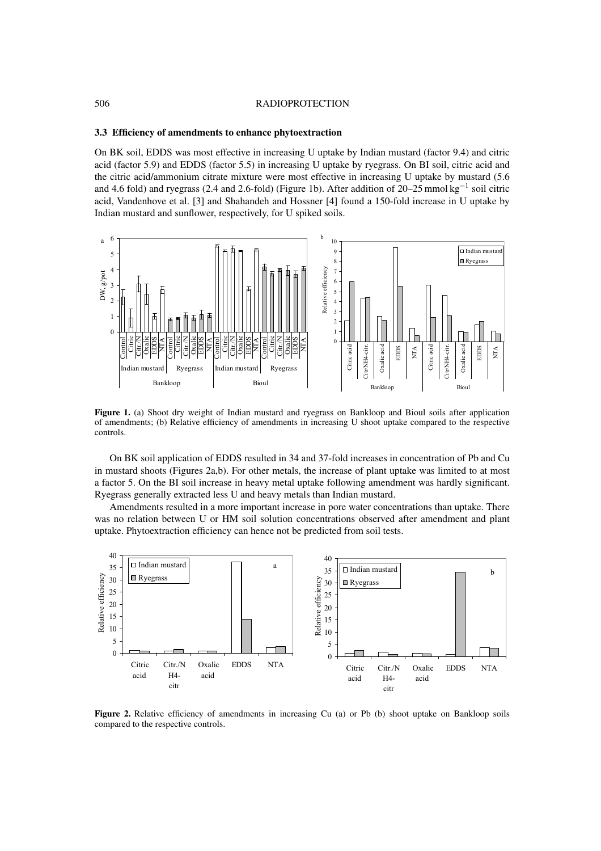#### 506 RADIOPROTECTION

#### **3.3 Efficiency of amendments to enhance phytoextraction**

On BK soil, EDDS was most effective in increasing U uptake by Indian mustard (factor 9.4) and citric acid (factor 5.9) and EDDS (factor 5.5) in increasing U uptake by ryegrass. On BI soil, citric acid and the citric acid/ammonium citrate mixture were most effective in increasing U uptake by mustard (5.6 and 4.6 fold) and ryegrass (2.4 and 2.6-fold) (Figure 1b). After addition of 20–25 mmol kg<sup>-1</sup> soil citric acid, Vandenhove et al. [3] and Shahandeh and Hossner [4] found a 150-fold increase in U uptake by Indian mustard and sunflower, respectively, for U spiked soils.



**Figure 1.** (a) Shoot dry weight of Indian mustard and ryegrass on Bankloop and Bioul soils after application of amendments; (b) Relative efficiency of amendments in increasing U shoot uptake compared to the respective controls.

On BK soil application of EDDS resulted in 34 and 37-fold increases in concentration of Pb and Cu in mustard shoots (Figures 2a,b). For other metals, the increase of plant uptake was limited to at most a factor 5. On the BI soil increase in heavy metal uptake following amendment was hardly significant. Ryegrass generally extracted less U and heavy metals than Indian mustard.

Amendments resulted in a more important increase in pore water concentrations than uptake. There was no relation between U or HM soil solution concentrations observed after amendment and plant uptake. Phytoextraction efficiency can hence not be predicted from soil tests.



**Figure 2.** Relative efficiency of amendments in increasing Cu (a) or Pb (b) shoot uptake on Bankloop soils compared to the respective controls.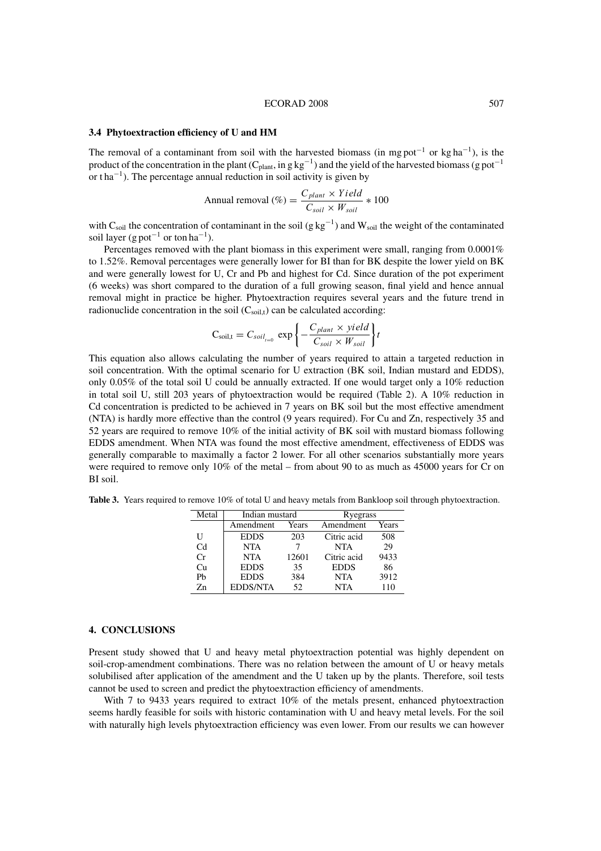#### ECORAD 2008 507

#### **3.4 Phytoextraction efficiency of U and HM**

The removal of a contaminant from soil with the harvested biomass (in mg pot<sup>-1</sup> or kg ha<sup>-1</sup>), is the product of the concentration in the plant (C<sub>plant</sub>, in g kg<sup>-1</sup>) and the yield of the harvested biomass (g pot<sup>-1</sup> or t ha−<sup>1</sup> ). The percentage annual reduction in soil activity is given by

$$
Annual removal (\%) = \frac{C_{plant} \times Yield}{C_{soil} \times W_{soil}} * 100
$$

with C<sub>soil</sub> the concentration of contaminant in the soil (g kg<sup>-1</sup>) and W<sub>soil</sub> the weight of the contaminated soil layer (g pot<sup>-1</sup> or ton ha<sup>-1</sup>).

Percentages removed with the plant biomass in this experiment were small, ranging from 0.0001% to 1.52%. Removal percentages were generally lower for BI than for BK despite the lower yield on BK and were generally lowest for U, Cr and Pb and highest for Cd. Since duration of the pot experiment (6 weeks) was short compared to the duration of a full growing season, final yield and hence annual removal might in practice be higher. Phytoextraction requires several years and the future trend in radionuclide concentration in the soil  $(C_{\text{solid}})$  can be calculated according:

$$
C_{soil,t} = C_{soil_{t=0}} \, \exp\left\{-\frac{C_{plant} \times yield}{C_{soil} \times W_{soil}}\right\} t
$$

This equation also allows calculating the number of years required to attain a targeted reduction in soil concentration. With the optimal scenario for U extraction (BK soil, Indian mustard and EDDS), only 0.05% of the total soil U could be annually extracted. If one would target only a 10% reduction in total soil U, still 203 years of phytoextraction would be required (Table 2). A 10% reduction in Cd concentration is predicted to be achieved in 7 years on BK soil but the most effective amendment (NTA) is hardly more effective than the control (9 years required). For Cu and Zn, respectively 35 and 52 years are required to remove 10% of the initial activity of BK soil with mustard biomass following EDDS amendment. When NTA was found the most effective amendment, effectiveness of EDDS was generally comparable to maximally a factor 2 lower. For all other scenarios substantially more years were required to remove only 10% of the metal – from about 90 to as much as 45000 years for Cr on BI soil.

**Table 3.** Years required to remove 10% of total U and heavy metals from Bankloop soil through phytoextraction.

| Metal          | Indian mustard  |       | Ryegrass    |       |  |
|----------------|-----------------|-------|-------------|-------|--|
|                | Amendment       | Years | Amendment   | Years |  |
| U              | <b>EDDS</b>     | 203   | Citric acid | 508   |  |
| C <sub>d</sub> | <b>NTA</b>      |       | <b>NTA</b>  | 29    |  |
| Cr             | <b>NTA</b>      | 12601 | Citric acid | 9433  |  |
| Cп             | <b>EDDS</b>     | 35    | <b>EDDS</b> | 86    |  |
| Ph             | <b>EDDS</b>     | 384   | <b>NTA</b>  | 3912  |  |
| Zn             | <b>EDDS/NTA</b> | 52    | <b>NTA</b>  | 110   |  |

#### **4. CONCLUSIONS**

Present study showed that U and heavy metal phytoextraction potential was highly dependent on soil-crop-amendment combinations. There was no relation between the amount of U or heavy metals solubilised after application of the amendment and the U taken up by the plants. Therefore, soil tests cannot be used to screen and predict the phytoextraction efficiency of amendments.

With 7 to 9433 years required to extract 10% of the metals present, enhanced phytoextraction seems hardly feasible for soils with historic contamination with U and heavy metal levels. For the soil with naturally high levels phytoextraction efficiency was even lower. From our results we can however